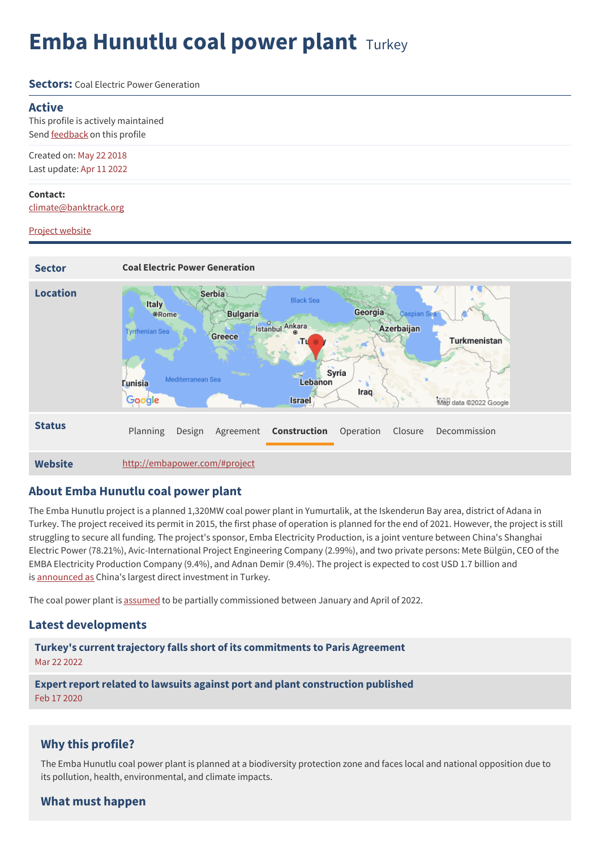# **Emba Hunutlu coal power plant** Turkey

**Sectors:** Coal Electric Power Generation

### **Active**

This profile is actively maintained Send [feedback](https://www.banktrack.org/feedback/dodgydeal/emba_hunutlu_coal_power_plant) on this profile

Created on: May 22 2018 Last update: Apr 11 2022

**Contact:** [climate@banktrack.org](mailto:climate@banktrack.org)

### Project [website](http://embapower.com/#project)



## **About Emba Hunutlu coal power plant**

The Emba Hunutlu project is a planned 1,320MW coal power plant in Yumurtalik, at the Iskenderun Bay area, district of Adana in Turkey. The project received its permit in 2015, the first phase of operation is planned for the end of 2021. However, the project is still struggling to secure all funding. The project's sponsor, Emba Electricity Production, is a joint venture between China's Shanghai Electric Power (78.21%), Avic-International Project Engineering Company (2.99%), and two private persons: Mete Bülgün, CEO of the EMBA Electricity Production Company (9.4%), and Adnan Demir (9.4%). The project is expected to cost USD 1.7 billion and is [announced](http://www.shanghaipower.com/power/nr/mn/201507/t20150731_24678.html) as China's largest direct investment in Turkey.

The coal power plant is [assumed](http://file///Users/savonvandenberk/Downloads/energies-15-01392-v2.pdf) to be partially commissioned between January and April of 2022.

## **Latest developments**

**Turkey's current trajectory falls short of its [commitments](javascript:void(0)) to Paris Agreement** Mar 22 2022

**Expert report related to lawsuits against port and plant [construction](javascript:void(0)) published** Feb 17 2020

## **Why this profile?**

The Emba Hunutlu coal power plant is planned at a biodiversity protection zone and faces local and national opposition due to its pollution, health, environmental, and climate impacts.

## **What must happen**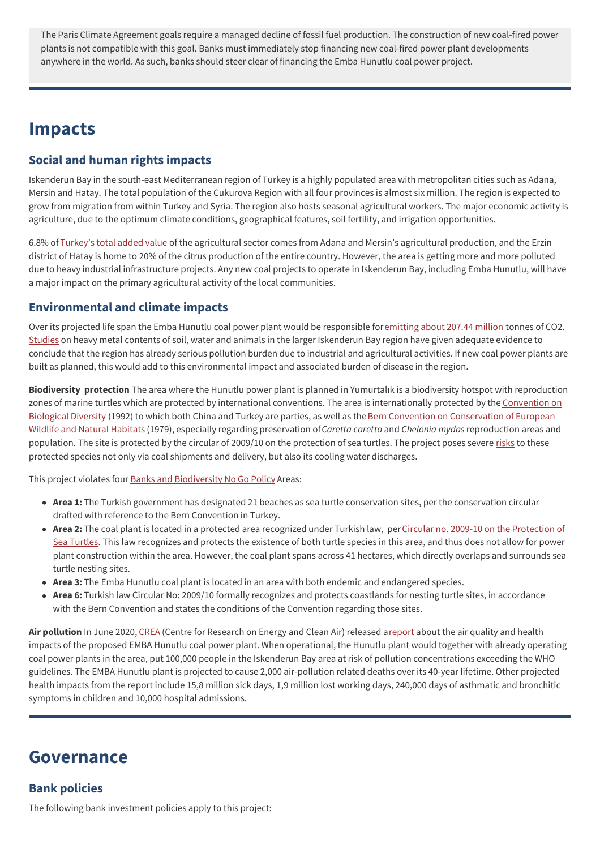The Paris Climate Agreement goals require a managed decline of fossil fuel production. The construction of new coal-fired power plants is not compatible with this goal. Banks must immediately stop financing new coal-fired power plant developments anywhere in the world. As such, banks should steer clear of financing the Emba Hunutlu coal power project.

## **Impacts**

## **Social and human rights impacts**

Iskenderun Bay in the south-east Mediterranean region of Turkey is a highly populated area with metropolitan cities such as Adana, Mersin and Hatay. The total population of the Cukurova Region with all four provinces is almost six million. The region is expected to grow from migration from within Turkey and Syria. The region also hosts seasonal agricultural workers. The major economic activity is agriculture, due to the optimum climate conditions, geographical features, soil fertility, and irrigation opportunities.

6.8% of [Turkey's](http://www.cka.org.tr/dosyalar/adana_mersin_at_a_glance_26_eylul.pdf) total added value of the agricultural sector comes from Adana and Mersin's agricultural production, and the Erzin district of Hatay is home to 20% of the citrus production of the entire country. However, the area is getting more and more polluted due to heavy industrial infrastructure projects. Any new coal projects to operate in Iskenderun Bay, including Emba Hunutlu, will have a major impact on the primary agricultural activity of the local communities.

## **Environmental and climate impacts**

Over its projected life span the Emba Hunutlu coal power plant would be responsible for [emitting](https://beyond-coal.eu/data/) about 207.44 million tonnes of CO2. [Studies](https://www.env-health.org/IMG/pdf/20052015_hr_coal_report_turkey_final.pdf) on heavy metal contents of soil, water and animals in the larger Iskenderun Bay region have given adequate evidence to conclude that the region has already serious pollution burden due to industrial and agricultural activities. If new coal power plants are built as planned, this would add to this environmental impact and associated burden of disease in the region.

**Biodiversity protection** The area where the Hunutlu power plant is planned in Yumurtalık is a biodiversity hotspot with reproduction zones of marine turtles which are protected by international conventions. The area is [internationally](https://www.cbd.int/) protected by the Convention on Biological Diversity (1992) to which both China and Turkey are parties, as well as the Bern Convention on [Conservation](https://www.coe.int/en/web/bern-convention) of European Wildlife and Natural Habitats (1979), especially regarding preservation of*Caretta caretta* and *Chelonia mydas*reproduction areas and population. The site is protected by the circular of 2009/10 on the protection of sea turtles. The project poses severe [risks](https://banksandbiodiversity.org/emba_hunutlu_coal_plant/) to these protected species not only via coal shipments and delivery, but also its cooling water discharges.

This project violates four **Banks and [Biodiversity](https://banksandbiodiversity.org/emba_hunutlu_coal_plant/) No Go Policy** Areas:

- **Area 1:** The Turkish government has designated 21 beaches as sea turtle conservation sites, per the conservation circular drafted with reference to the Bern Convention in Turkey.
- Area 2: The coal plant is located in a protected area recognized under Turkish law, per Circular no. 2009-10 on the Protection of Sea Turtles. This law recognizes and protects the existence of both turtle species in this area, and thus does not allow for power plant construction within the area. However, the coal plant spans across 41 hectares, which directly overlaps and surrounds sea turtle nesting sites.
- **Area 3:** The Emba Hunutlu coal plant is located in an area with both endemic and endangered species.
- **Area 6:** Turkish law Circular No: 2009/10 formally recognizes and protects coastlands for nesting turtle sites, in accordance with the Bern Convention and states the conditions of the Convention regarding those sites.

Air pollution In June 2020, [CREA](https://energyandcleanair.org/) (Centre for Research on Energy and Clean Air) released a [report](https://energyandcleanair.org/wp/wp-content/uploads/2020/06/EMBA-Hunutlu-Coal-Power-Project.pdf) about the air quality and health impacts of the proposed EMBA Hunutlu coal power plant. When operational, the Hunutlu plant would together with already operating coal power plants in the area, put 100,000 people in the Iskenderun Bay area at risk of pollution concentrations exceeding the WHO guidelines. The EMBA Hunutlu plant is projected to cause 2,000 air-pollution related deaths over its 40-year lifetime. Other projected health impacts from the report include 15,8 million sick days, 1,9 million lost working days, 240,000 days of asthmatic and bronchitic symptoms in children and 10,000 hospital admissions.

## **Governance**

## **Bank policies**

The following bank investment policies apply to this project: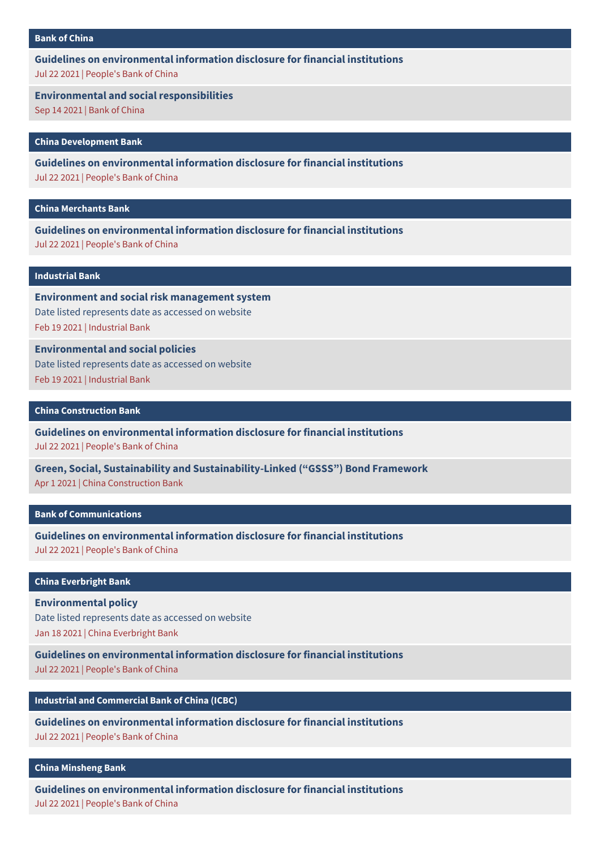### **Bank of [China](https://www.banktrack.org/show/bankprofile/bank_of_china)**

**Guidelines on [environmental](https://chinadevelopmentbrief.cn/wp-content/uploads/2021/08/Guidelines-for-financial-institutions-environmental-information-disclosure.pdf) information disclosure for financial institutions** Jul 22 2021 | People's Bank of China

**Environmental and social [responsibilities](https://www.banktrack.org/download/environmental_and_social_responsibilities)**

Sep 14 2021 | Bank of China

**China [Development](https://www.banktrack.org/show/bankprofile/china_development_bank) Bank**

**Guidelines on [environmental](https://chinadevelopmentbrief.cn/wp-content/uploads/2021/08/Guidelines-for-financial-institutions-environmental-information-disclosure.pdf) information disclosure for financial institutions** Jul 22 2021 | People's Bank of China

**China [Merchants](https://www.banktrack.org/show/bankprofile/china_merchants_bank) Bank**

**Guidelines on [environmental](https://chinadevelopmentbrief.cn/wp-content/uploads/2021/08/Guidelines-for-financial-institutions-environmental-information-disclosure.pdf) information disclosure for financial institutions** Jul 22 2021 | People's Bank of China

### **[Industrial](https://www.banktrack.org/show/bankprofile/industrial_bank) Bank**

**Environment and social risk [management](https://www.cib.com.cn/en/aboutCIB/social/policy/system.html) system** Date listed represents date as accessed on website Feb 19 2021 | Industrial Bank

**[Environmental](https://www.cib.com.cn/en/aboutCIB/social/policy/index.html) and social policies** Date listed represents date as accessed on website Feb 19 2021 | Industrial Bank

### **China [Construction](https://www.banktrack.org/show/bankprofile/china_construction_bank) Bank**

**Guidelines on [environmental](https://chinadevelopmentbrief.cn/wp-content/uploads/2021/08/Guidelines-for-financial-institutions-environmental-information-disclosure.pdf) information disclosure for financial institutions** Jul 22 2021 | People's Bank of China

**Green, Social, Sustainability and [Sustainability-Linked](https://www.banktrack.org/download/green_social_sustainability_and_sustainabilitylinked_gsss_bond_framework) ("GSSS") Bond Framework** Apr 1 2021 | China Construction Bank

### **Bank of [Communications](https://www.banktrack.org/show/bankprofile/bank_of_communications)**

**Guidelines on [environmental](https://chinadevelopmentbrief.cn/wp-content/uploads/2021/08/Guidelines-for-financial-institutions-environmental-information-disclosure.pdf) information disclosure for financial institutions** Jul 22 2021 | People's Bank of China

### **China [Everbright](https://www.banktrack.org/show/bankprofile/china_everbright_bank) Bank**

**[Environmental](https://www.cebenvironment.com/en/csr/policy.php) policy**

Date listed represents date as accessed on website Jan 18 2021 | China Everbright Bank

**Guidelines on [environmental](https://chinadevelopmentbrief.cn/wp-content/uploads/2021/08/Guidelines-for-financial-institutions-environmental-information-disclosure.pdf) information disclosure for financial institutions**

Jul 22 2021 | People's Bank of China

### **Industrial and [Commercial](https://www.banktrack.org/show/bankprofile/industrial_commercial_bank_of_china) Bank of China (ICBC)**

**Guidelines on [environmental](https://chinadevelopmentbrief.cn/wp-content/uploads/2021/08/Guidelines-for-financial-institutions-environmental-information-disclosure.pdf) information disclosure for financial institutions** Jul 22 2021 | People's Bank of China

### **China [Minsheng](https://www.banktrack.org/show/bankprofile/china_minsheng_bank) Bank**

**Guidelines on [environmental](https://chinadevelopmentbrief.cn/wp-content/uploads/2021/08/Guidelines-for-financial-institutions-environmental-information-disclosure.pdf) information disclosure for financial institutions** Jul 22 2021 | People's Bank of China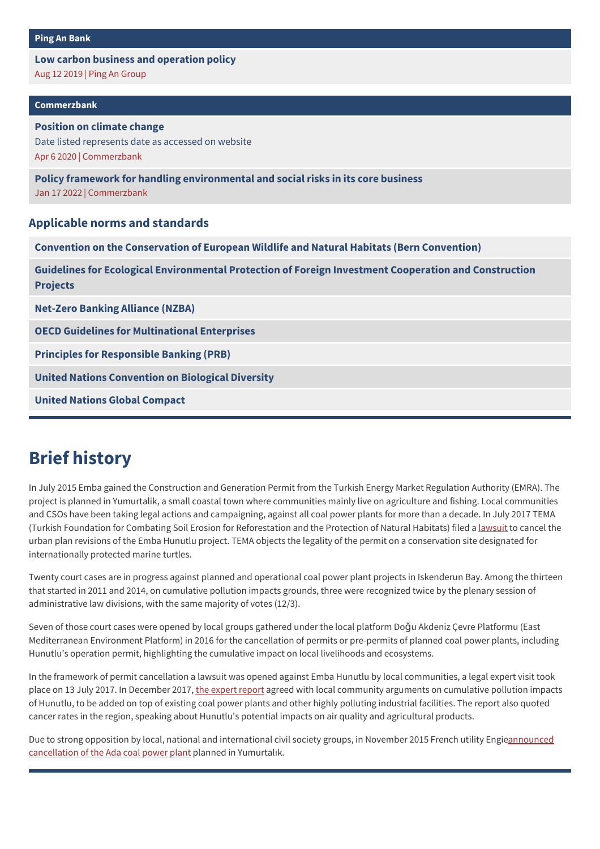## **Low carbon business and [operation](https://www.banktrack.org/download/low_carbon_business_and_operation_policy) policy**

Aug 12 2019 | Ping An Group

### **[Commerzbank](https://www.banktrack.org/show/bankprofile/commerzbank)**

## **Position on climate change** Date listed represents date as accessed on website Apr 6 2020 | [Commerzbank](https://www.commerzbank.de/en/nachhaltigkeit/gesellschaft/klimastrategie/climate_strategy_.html)

**Policy framework for handling [environmental](https://www.banktrack.org/download/commerzbank_policy_framework_for_handling_environmental_and_social_risks_in_its_core_business_1) and social risks in its core business** Jan 17 2022 | Commerzbank

## **Applicable norms and standards**

**Convention on the [Conservation](https://www.coe.int/en/web/bern-convention) of European Wildlife and Natural Habitats (Bern Convention)**

**Guidelines for Ecological [Environmental](https://www-mee-gov-cn.translate.goog/xxgk2018/xxgk/xxgk05/202201/t20220110_966571.html?_x_tr_sch=http&_x_tr_sl=zh-CN&_x_tr_tl=en&_x_tr_hl=de) Protection of Foreign Investment Cooperation and Construction Projects**

**[Net-Zero](https://www.unepfi.org/net-zero-banking/) Banking Alliance (NZBA)**

**OECD Guidelines for [Multinational](http://www.oecd.org/document/28/0,3746,en_2649_34889_2397532_1_1_1_1,00.html) Enterprises**

**Principles for [Responsible](http://www.unepfi.org/banking/bankingprinciples/) Banking (PRB)**

**United Nations [Convention](http://www.cbd.int/) on Biological Diversity**

**United Nations Global [Compact](http://www.unglobalcompact.org/)**

# **Brief history**

In July 2015 Emba gained the Construction and Generation Permit from the Turkish Energy Market Regulation Authority (EMRA). The project is planned in Yumurtalik, a small coastal town where communities mainly live on agriculture and fishing. Local communities and CSOs have been taking legal actions and campaigning, against all coal power plants for more than a decade. In July 2017 TEMA (Turkish Foundation for Combating Soil Erosion for Reforestation and the Protection of Natural Habitats) filed a [lawsuit](https://gocleanicbc.org/listen-to-the-people-icbc-adanayatemizhava/) to cancel the urban plan revisions of the Emba Hunutlu project. TEMA objects the legality of the permit on a conservation site designated for internationally protected marine turtles.

Twenty court cases are in progress against planned and operational coal power plant projects in Iskenderun Bay. Among the thirteen that started in 2011 and 2014, on cumulative pollution impacts grounds, three were recognized twice by the plenary session of administrative law divisions, with the same majority of votes (12/3).

Seven of those court cases were opened by local groups gathered under the local platform Doğu Akdeniz Çevre Platformu (East Mediterranean Environment Platform) in 2016 for the cancellation of permits or pre-permits of planned coal power plants, including Hunutlu's operation permit, highlighting the cumulative impact on local livelihoods and ecosystems.

In the framework of permit cancellation a lawsuit was opened against Emba Hunutlu by local communities, a legal expert visit took place on 13 July 2017. In December 2017, the [expert](http://www.ick.org.tr/cukurovada-yeni-termik-santrale-acilan-davada-eskisini-kanseri-12-kat-artirdigi-belirlendi/) report agreed with local community arguments on cumulative pollution impacts of Hunutlu, to be added on top of existing coal power plants and other highly polluting industrial facilities. The report also quoted cancer rates in the region, speaking about Hunutlu's potential impacts on air quality and agricultural products.

Due to strong opposition by local, national and international civil society groups, in November 2015 French utility [Engieannounced](http://www.hurriyetdailynews.com/french-company-cancels-energy-project-in-turkey-after-local-global-protests.aspx?pageID=238&nID=90148&NewsCatID=348) cancellation of the Ada coal power plant planned in Yumurtalık.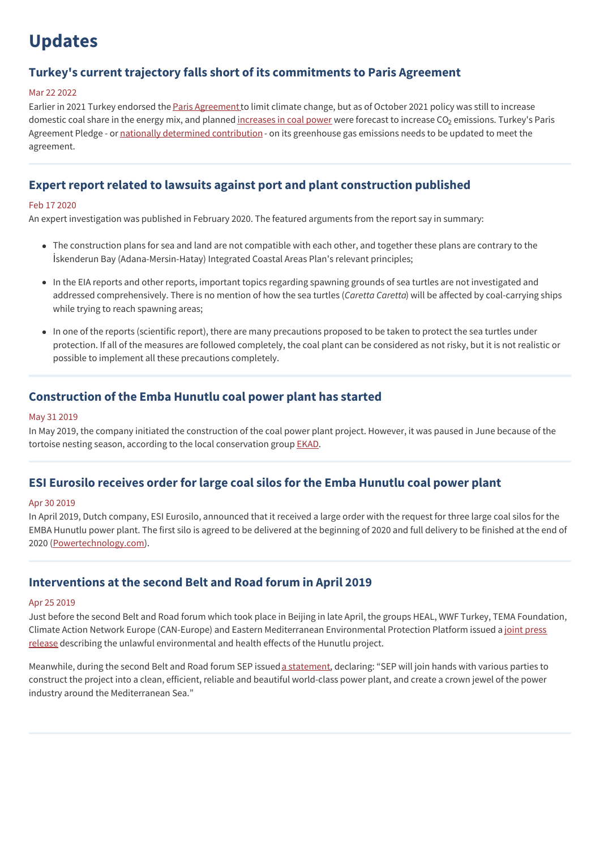# **Updates**

## **Turkey's current trajectory falls short of its commitments to Paris Agreement**

### Mar 22 2022

Earlier in 2021 Turkey endorsed the Paris [Agreement](https://unfccc.int/process-and-meetings/the-paris-agreement/the-paris-agreement) to limit climate change, but as of October 2021 policy was still to increase domestic coal share in the energy mix, and planned <u>[increases](https://www.invest.gov.tr/en/library/publications/lists/investpublications/overview-of-turkish-electricity-market.pdf) in coal power</u> were forecast to increase CO<sub>2</sub> emissions. Turkey's Paris Agreement Pledge - or nationally determined [contribution](https://www4.unfccc.int/sites/ndcstaging/PublishedDocuments/Turkey%20First/The_INDC_of_TURKEY_v.15.19.30.pdf) - on its greenhouse gas emissions needs to be updated to meet the agreement.

## **Expert report related to lawsuits against port and plant construction published**

### Feb 17 2020

An expert investigation was published in February 2020. The featured arguments from the report say in summary:

- The construction plans for sea and land are not compatible with each other, and together these plans are contrary to the İskenderun Bay (Adana-Mersin-Hatay) Integrated Coastal Areas Plan's relevant principles;
- In the EIA reports and other reports, important topics regarding spawning grounds of sea turtles are not investigated and addressed comprehensively. There is no mention of how the sea turtles (*Caretta Caretta*) will be affected by coal-carrying ships while trying to reach spawning areas;
- In one of the reports (scientific report), there are many precautions proposed to be taken to protect the sea turtles under protection. If all of the measures are followed completely, the coal plant can be considered as not risky, but it is not realistic or possible to implement all these precautions completely.

## **Construction of the Emba Hunutlu coal power plant has started**

### May 31 2019

In May 2019, the company initiated the construction of the coal power plant project. However, it was paused in June because of the tortoise nesting season, according to the local conservation group [EKAD](https://www.ekad.org.tr/en/).

## **ESI Eurosilo receives order for large coal silos for the Emba Hunutlu coal power plant**

#### Apr 30 2019

In April 2019, Dutch company, ESI Eurosilo, announced that it received a large order with the request for three large coal silos for the EMBA Hunutlu power plant. The first silo is agreed to be delivered at the beginning of 2020 and full delivery to be finished at the end of 2020 [\(Powertechnology.com](https://www.power-technology.com/contractors/materials/esi/pressreleases/esi-to-engineer-three-100000m%25C2%25B3-coal-silos-for-emba-hunutlu-plant/)).

## **Interventions at the second Belt and Road forum in April 2019**

### Apr 25 2019

Just before the second Belt and Road forum which took place in Beijing in late April, the groups HEAL, WWF Turkey, TEMA Foundation, Climate Action Network Europe (CAN-Europe) and Eastern Mediterranean [Environmental](http://www.tema.org.tr/web_14966-2_1/entitialfocus.aspx?primary_id=2152&target=categorial1&type=2&detail=single) Protection Platform issued a joint press release describing the unlawful environmental and health effects of the Hunutlu project.

Meanwhile, during the second Belt and Road forum SEP issued a [statement](http://www.shanghaipower.com/power/conpanynews/201907/t20190730_34305.html), declaring: "SEP will join hands with various parties to construct the project into a clean, efficient, reliable and beautiful world-class power plant, and create a crown jewel of the power industry around the Mediterranean Sea."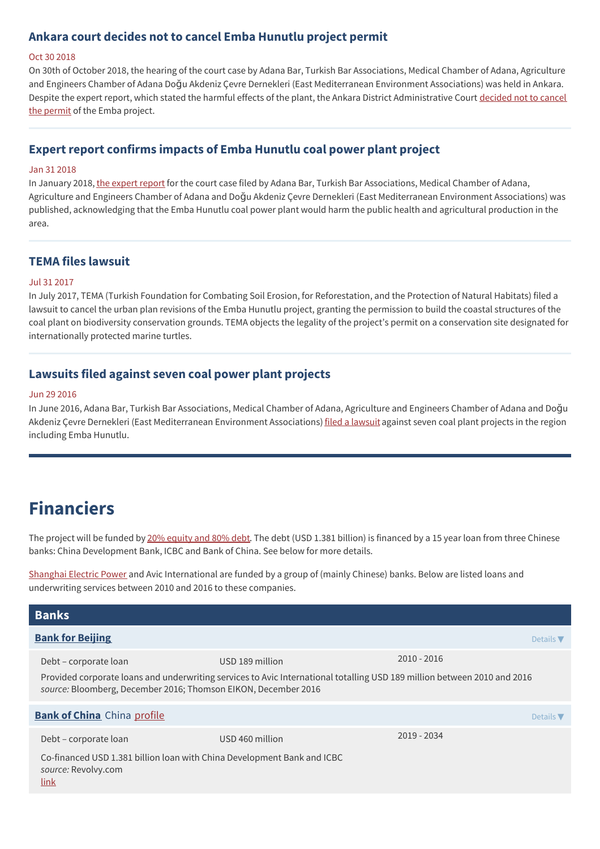## **Ankara court decides not to cancel Emba Hunutlu project permit**

#### Oct 30 2018

On 30th of October 2018, the hearing of the court case by Adana Bar, Turkish Bar Associations, Medical Chamber of Adana, Agriculture and Engineers Chamber of Adana Doğu Akdeniz Çevre Dernekleri (East Mediterranean Environment Associations) was held in Ankara. Despite the expert report, which stated the harmful effects of the plant, the Ankara District [Administrative](https://adanabarosu.org.tr/tr/barodan-haberler/baromuzun-da-davaci-oldugu-sugozu-ndeki-yeni-termik-santral-ile-ilgili-dosyanin-durusmasi-asiri-iklim-olaylarinin-golgesinde-yapildi) Court decided not to cancel the permit of the Emba project.

## **Expert report confirms impacts of Emba Hunutlu coal power plant project**

### Jan 31 2018

In January 2018, the [expert](https://odatv.com/4-kanser-tipi-16ya-cikti-2901181200.html) report for the court case filed by Adana Bar, Turkish Bar Associations, Medical Chamber of Adana, Agriculture and Engineers Chamber of Adana and Doğu Akdeniz Çevre Dernekleri (East Mediterranean Environment Associations) was published, acknowledging that the Emba Hunutlu coal power plant would harm the public health and agricultural production in the area.

## **TEMA files lawsuit**

### Jul 31 2017

In July 2017, TEMA (Turkish Foundation for Combating Soil Erosion, for Reforestation, and the Protection of Natural Habitats) filed a lawsuit to cancel the urban plan revisions of the Emba Hunutlu project, granting the permission to build the coastal structures of the coal plant on biodiversity conservation grounds. TEMA objects the legality of the project's permit on a conservation site designated for internationally protected marine turtles.

## **Lawsuits filed against seven coal power plant projects**

### Jun 29 2016

In June 2016, Adana Bar, Turkish Bar Associations, Medical Chamber of Adana, Agriculture and Engineers Chamber of Adana and Doğu Akdeniz Çevre Dernekleri (East Mediterranean Environment Associations) filed a [lawsuit](https://adanabarosu.org.tr/tr/barodan-haberler/baromuzun-tbb-ve-cevre-dernekleri-ile-davaci-oldugu-yumurtalik-emba-termik-sanrali-lisans-iptali-davasinin-kesfi-yapildi) against seven coal plant projects in the region including Emba Hunutlu.

# **Financiers**

The project will be funded by 20% [equity](https://www.banktrack.org/download/tendering_notice/tenderingnoticeoe20160926.pdf) and 80% debt. The debt (USD 1.381 billion) is financed by a 15 year loan from three Chinese banks: China Development Bank, ICBC and Bank of China. See below for more details.

[Shanghai](http://www.shanghaipower.com/power/conpanynews/201907/t20190730_34297.html) Electric Power and Avic International are funded by a group of (mainly Chinese) banks. Below are listed loans and underwriting services between 2010 and 2016 to these companies.

| <b>Banks</b>                                                                                                                                                                               |                 |                              |  |  |
|--------------------------------------------------------------------------------------------------------------------------------------------------------------------------------------------|-----------------|------------------------------|--|--|
| <b>Bank for Beijing</b>                                                                                                                                                                    |                 | Details $\blacktriangledown$ |  |  |
| Debt – corporate loan                                                                                                                                                                      | USD 189 million | $2010 - 2016$                |  |  |
| Provided corporate loans and underwriting services to Avic International totalling USD 189 million between 2010 and 2016<br>source: Bloomberg, December 2016; Thomson EIKON, December 2016 |                 |                              |  |  |
| <b>Bank of China</b> China profile                                                                                                                                                         |                 | Details $\blacktriangledown$ |  |  |
| Debt – corporate loan                                                                                                                                                                      | USD 460 million | 2019 - 2034                  |  |  |
| Co-financed USD 1.381 billion loan with China Development Bank and ICBC<br>source: Revolvy.com<br>link                                                                                     |                 |                              |  |  |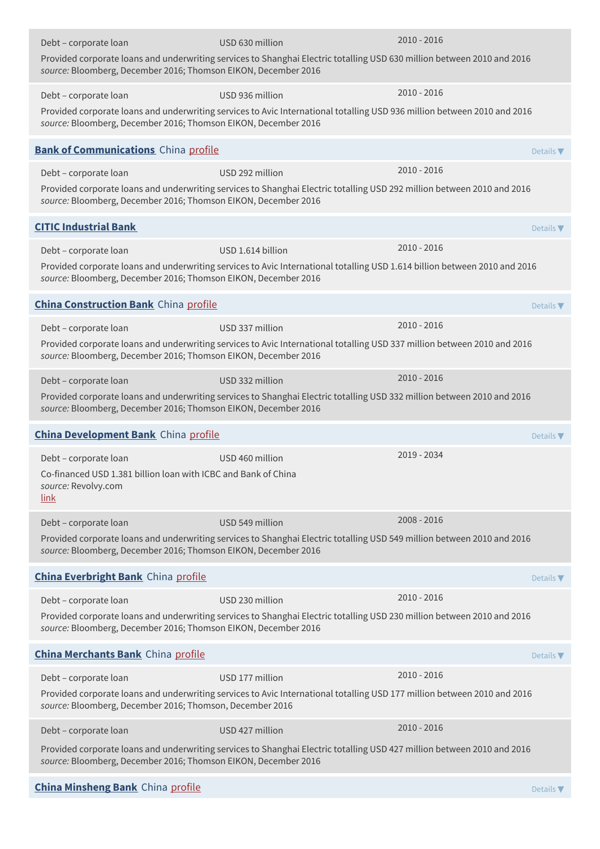| Debt - corporate loan                                                                                                  | USD 630 million                                                                                                            | 2010 - 2016   |                              |
|------------------------------------------------------------------------------------------------------------------------|----------------------------------------------------------------------------------------------------------------------------|---------------|------------------------------|
| source: Bloomberg, December 2016; Thomson EIKON, December 2016                                                         | Provided corporate loans and underwriting services to Shanghai Electric totalling USD 630 million between 2010 and 2016    |               |                              |
| Debt - corporate loan                                                                                                  | USD 936 million                                                                                                            | 2010 - 2016   |                              |
| source: Bloomberg, December 2016; Thomson EIKON, December 2016                                                         | Provided corporate loans and underwriting services to Avic International totalling USD 936 million between 2010 and 2016   |               |                              |
| <b>Bank of Communications</b> China profile                                                                            |                                                                                                                            |               | Details V                    |
| Debt - corporate loan                                                                                                  | USD 292 million                                                                                                            | $2010 - 2016$ |                              |
| source: Bloomberg, December 2016; Thomson EIKON, December 2016                                                         | Provided corporate loans and underwriting services to Shanghai Electric totalling USD 292 million between 2010 and 2016    |               |                              |
| <b>CITIC Industrial Bank</b>                                                                                           |                                                                                                                            |               | Details $\nabla$             |
| Debt - corporate loan                                                                                                  | USD 1.614 billion                                                                                                          | $2010 - 2016$ |                              |
| source: Bloomberg, December 2016; Thomson EIKON, December 2016                                                         | Provided corporate loans and underwriting services to Avic International totalling USD 1.614 billion between 2010 and 2016 |               |                              |
| <b>China Construction Bank</b> China profile                                                                           |                                                                                                                            |               | Details $\nabla$             |
| Debt - corporate loan                                                                                                  | USD 337 million                                                                                                            | $2010 - 2016$ |                              |
| source: Bloomberg, December 2016; Thomson EIKON, December 2016                                                         | Provided corporate loans and underwriting services to Avic International totalling USD 337 million between 2010 and 2016   |               |                              |
| Debt - corporate loan                                                                                                  | USD 332 million                                                                                                            | $2010 - 2016$ |                              |
| source: Bloomberg, December 2016; Thomson EIKON, December 2016                                                         | Provided corporate loans and underwriting services to Shanghai Electric totalling USD 332 million between 2010 and 2016    |               |                              |
| <b>China Development Bank</b> China profile                                                                            |                                                                                                                            |               | Details $\nabla$             |
| Debt - corporate loan<br>Co-financed USD 1.381 billion loan with ICBC and Bank of China<br>source: Revolvy.com<br>link | USD 460 million                                                                                                            | 2019 - 2034   |                              |
| Debt - corporate loan                                                                                                  | USD 549 million                                                                                                            | 2008 - 2016   |                              |
| source: Bloomberg, December 2016; Thomson EIKON, December 2016                                                         | Provided corporate loans and underwriting services to Shanghai Electric totalling USD 549 million between 2010 and 2016    |               |                              |
| <b>China Everbright Bank</b> China profile                                                                             |                                                                                                                            |               | Details $\nabla$             |
| Debt - corporate loan                                                                                                  | USD 230 million                                                                                                            | 2010 - 2016   |                              |
| source: Bloomberg, December 2016; Thomson EIKON, December 2016                                                         | Provided corporate loans and underwriting services to Shanghai Electric totalling USD 230 million between 2010 and 2016    |               |                              |
| <b>China Merchants Bank</b> China profile                                                                              |                                                                                                                            |               | Details $\blacktriangledown$ |
| Debt - corporate loan                                                                                                  | USD 177 million                                                                                                            | 2010 - 2016   |                              |
| source: Bloomberg, December 2016; Thomson, December 2016                                                               | Provided corporate loans and underwriting services to Avic International totalling USD 177 million between 2010 and 2016   |               |                              |
| Debt - corporate loan                                                                                                  | USD 427 million                                                                                                            | 2010 - 2016   |                              |
| source: Bloomberg, December 2016; Thomson EIKON, December 2016                                                         | Provided corporate loans and underwriting services to Shanghai Electric totalling USD 427 million between 2010 and 2016    |               |                              |
| <b>China Minsheng Bank</b> China profile                                                                               |                                                                                                                            |               | Details                      |